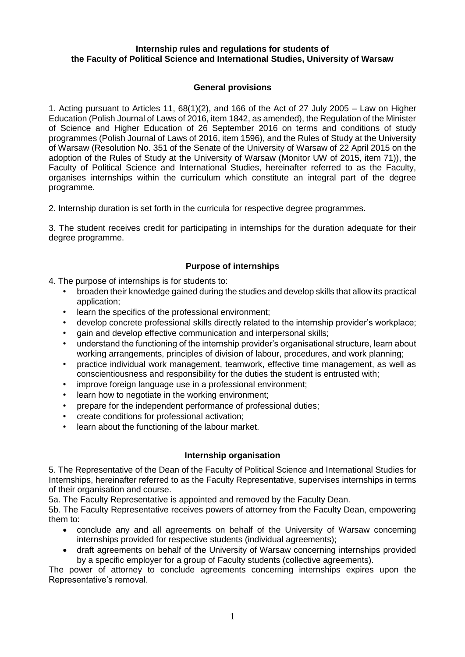#### **Internship rules and regulations for students of the Faculty of Political Science and International Studies, University of Warsaw**

## **General provisions**

1. Acting pursuant to Articles 11, 68(1)(2), and 166 of the Act of 27 July 2005 – Law on Higher Education (Polish Journal of Laws of 2016, item 1842, as amended), the Regulation of the Minister of Science and Higher Education of 26 September 2016 on terms and conditions of study programmes (Polish Journal of Laws of 2016, item 1596), and the Rules of Study at the University of Warsaw (Resolution No. 351 of the Senate of the University of Warsaw of 22 April 2015 on the adoption of the Rules of Study at the University of Warsaw (Monitor UW of 2015, item 71)), the Faculty of Political Science and International Studies, hereinafter referred to as the Faculty, organises internships within the curriculum which constitute an integral part of the degree programme.

2. Internship duration is set forth in the curricula for respective degree programmes.

3. The student receives credit for participating in internships for the duration adequate for their degree programme.

## **Purpose of internships**

4. The purpose of internships is for students to:

- broaden their knowledge gained during the studies and develop skills that allow its practical application;
- learn the specifics of the professional environment:
- develop concrete professional skills directly related to the internship provider's workplace;
- gain and develop effective communication and interpersonal skills;
- understand the functioning of the internship provider's organisational structure, learn about working arrangements, principles of division of labour, procedures, and work planning;
- practice individual work management, teamwork, effective time management, as well as conscientiousness and responsibility for the duties the student is entrusted with;
- improve foreign language use in a professional environment;
- learn how to negotiate in the working environment;
- prepare for the independent performance of professional duties;
- create conditions for professional activation;
- learn about the functioning of the labour market.

### **Internship organisation**

5. The Representative of the Dean of the Faculty of Political Science and International Studies for Internships, hereinafter referred to as the Faculty Representative, supervises internships in terms of their organisation and course.

5a. The Faculty Representative is appointed and removed by the Faculty Dean.

5b. The Faculty Representative receives powers of attorney from the Faculty Dean, empowering them to:

- conclude any and all agreements on behalf of the University of Warsaw concerning internships provided for respective students (individual agreements);
- draft agreements on behalf of the University of Warsaw concerning internships provided by a specific employer for a group of Faculty students (collective agreements).

The power of attorney to conclude agreements concerning internships expires upon the Representative's removal.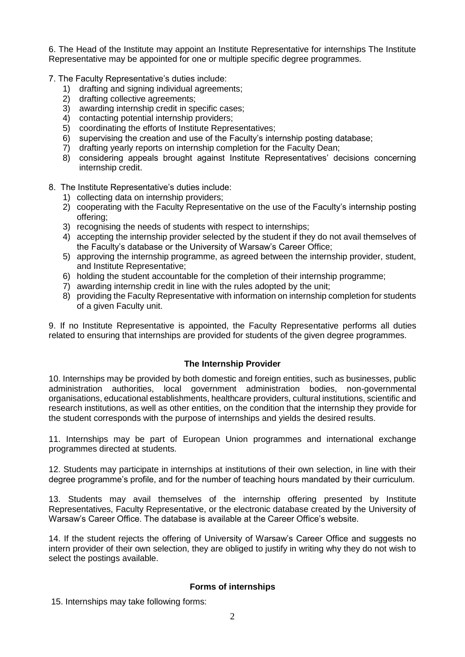6. The Head of the Institute may appoint an Institute Representative for internships The Institute Representative may be appointed for one or multiple specific degree programmes.

- 7. The Faculty Representative's duties include:
	- 1) drafting and signing individual agreements;
	- 2) drafting collective agreements;
	- 3) awarding internship credit in specific cases;
	- 4) contacting potential internship providers;
	- 5) coordinating the efforts of Institute Representatives;
	- 6) supervising the creation and use of the Faculty's internship posting database;
	- 7) drafting yearly reports on internship completion for the Faculty Dean;
	- 8) considering appeals brought against Institute Representatives' decisions concerning internship credit.
- 8. The Institute Representative's duties include:
	- 1) collecting data on internship providers;
	- 2) cooperating with the Faculty Representative on the use of the Faculty's internship posting offering;
	- 3) recognising the needs of students with respect to internships;
	- 4) accepting the internship provider selected by the student if they do not avail themselves of the Faculty's database or the University of Warsaw's Career Office;
	- 5) approving the internship programme, as agreed between the internship provider, student, and Institute Representative;
	- 6) holding the student accountable for the completion of their internship programme;
	- 7) awarding internship credit in line with the rules adopted by the unit;
	- 8) providing the Faculty Representative with information on internship completion for students of a given Faculty unit.

9. If no Institute Representative is appointed, the Faculty Representative performs all duties related to ensuring that internships are provided for students of the given degree programmes.

# **The Internship Provider**

10. Internships may be provided by both domestic and foreign entities, such as businesses, public administration authorities, local government administration bodies, non-governmental organisations, educational establishments, healthcare providers, cultural institutions, scientific and research institutions, as well as other entities, on the condition that the internship they provide for the student corresponds with the purpose of internships and yields the desired results.

11. Internships may be part of European Union programmes and international exchange programmes directed at students.

12. Students may participate in internships at institutions of their own selection, in line with their degree programme's profile, and for the number of teaching hours mandated by their curriculum.

13. Students may avail themselves of the internship offering presented by Institute Representatives, Faculty Representative, or the electronic database created by the University of Warsaw's Career Office. The database is available at the Career Office's website.

14. If the student rejects the offering of University of Warsaw's Career Office and suggests no intern provider of their own selection, they are obliged to justify in writing why they do not wish to select the postings available.

### **Forms of internships**

15. Internships may take following forms: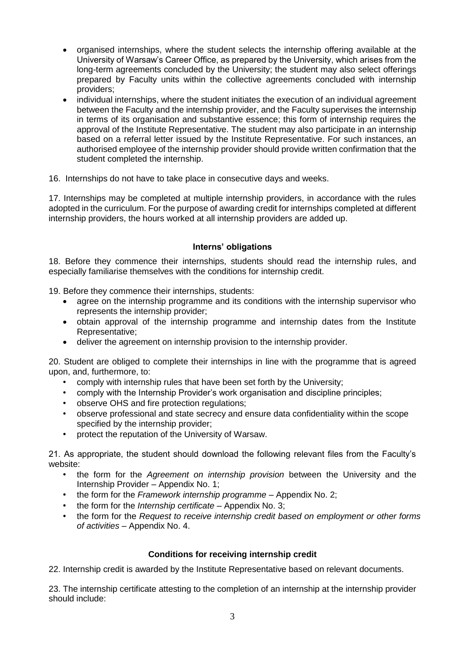- organised internships, where the student selects the internship offering available at the University of Warsaw's Career Office, as prepared by the University, which arises from the long-term agreements concluded by the University; the student may also select offerings prepared by Faculty units within the collective agreements concluded with internship providers;
- individual internships, where the student initiates the execution of an individual agreement between the Faculty and the internship provider, and the Faculty supervises the internship in terms of its organisation and substantive essence; this form of internship requires the approval of the Institute Representative. The student may also participate in an internship based on a referral letter issued by the Institute Representative. For such instances, an authorised employee of the internship provider should provide written confirmation that the student completed the internship.

16. Internships do not have to take place in consecutive days and weeks.

17. Internships may be completed at multiple internship providers, in accordance with the rules adopted in the curriculum. For the purpose of awarding credit for internships completed at different internship providers, the hours worked at all internship providers are added up.

## **Interns' obligations**

18. Before they commence their internships, students should read the internship rules, and especially familiarise themselves with the conditions for internship credit.

19. Before they commence their internships, students:

- agree on the internship programme and its conditions with the internship supervisor who represents the internship provider;
- obtain approval of the internship programme and internship dates from the Institute Representative;
- deliver the agreement on internship provision to the internship provider.

20. Student are obliged to complete their internships in line with the programme that is agreed upon, and, furthermore, to:

- comply with internship rules that have been set forth by the University;
- comply with the Internship Provider's work organisation and discipline principles;
- observe OHS and fire protection regulations;
- observe professional and state secrecy and ensure data confidentiality within the scope specified by the internship provider;
- protect the reputation of the University of Warsaw.

21. As appropriate, the student should download the following relevant files from the Faculty's website:

- the form for the *Agreement on internship provision* between the University and the Internship Provider – Appendix No. 1;
- the form for the *Framework internship programme*  Appendix No. 2;
- the form for the *Internship certificate*  Appendix No. 3;
- the form for the *Request to receive internship credit based on employment or other forms of activities* – Appendix No. 4.

### **Conditions for receiving internship credit**

22. Internship credit is awarded by the Institute Representative based on relevant documents.

23. The internship certificate attesting to the completion of an internship at the internship provider should include: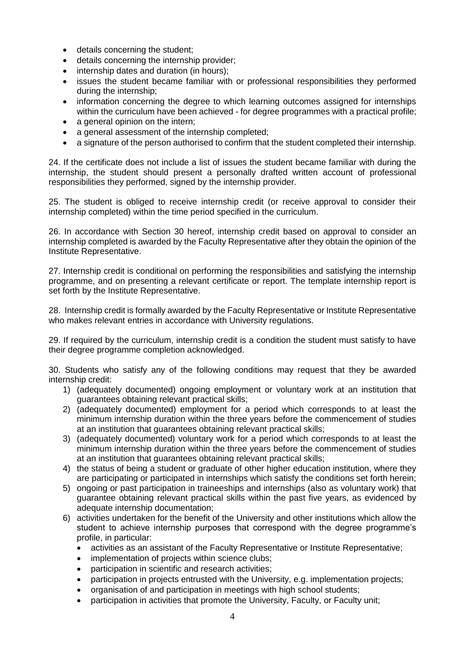- details concerning the student;
- details concerning the internship provider;
- internship dates and duration (in hours);
- issues the student became familiar with or professional responsibilities they performed during the internship;
- information concerning the degree to which learning outcomes assigned for internships within the curriculum have been achieved - for degree programmes with a practical profile;
- a general opinion on the intern;
- a general assessment of the internship completed;
- a signature of the person authorised to confirm that the student completed their internship.

24. If the certificate does not include a list of issues the student became familiar with during the internship, the student should present a personally drafted written account of professional responsibilities they performed, signed by the internship provider.

25. The student is obliged to receive internship credit (or receive approval to consider their internship completed) within the time period specified in the curriculum.

26. In accordance with Section 30 hereof, internship credit based on approval to consider an internship completed is awarded by the Faculty Representative after they obtain the opinion of the Institute Representative.

27. Internship credit is conditional on performing the responsibilities and satisfying the internship programme, and on presenting a relevant certificate or report. The template internship report is set forth by the Institute Representative.

28. Internship credit is formally awarded by the Faculty Representative or Institute Representative who makes relevant entries in accordance with University regulations.

29. If required by the curriculum, internship credit is a condition the student must satisfy to have their degree programme completion acknowledged.

30. Students who satisfy any of the following conditions may request that they be awarded internship credit:

- 1) (adequately documented) ongoing employment or voluntary work at an institution that guarantees obtaining relevant practical skills;
- 2) (adequately documented) employment for a period which corresponds to at least the minimum internship duration within the three years before the commencement of studies at an institution that guarantees obtaining relevant practical skills;
- 3) (adequately documented) voluntary work for a period which corresponds to at least the minimum internship duration within the three years before the commencement of studies at an institution that guarantees obtaining relevant practical skills;
- 4) the status of being a student or graduate of other higher education institution, where they are participating or participated in internships which satisfy the conditions set forth herein;
- 5) ongoing or past participation in traineeships and internships (also as voluntary work) that guarantee obtaining relevant practical skills within the past five years, as evidenced by adequate internship documentation;
- 6) activities undertaken for the benefit of the University and other institutions which allow the student to achieve internship purposes that correspond with the degree programme's profile, in particular:
	- activities as an assistant of the Faculty Representative or Institute Representative;
	- implementation of projects within science clubs;
	- participation in scientific and research activities;
	- participation in projects entrusted with the University, e.g. implementation projects;
	- organisation of and participation in meetings with high school students;
	- participation in activities that promote the University, Faculty, or Faculty unit;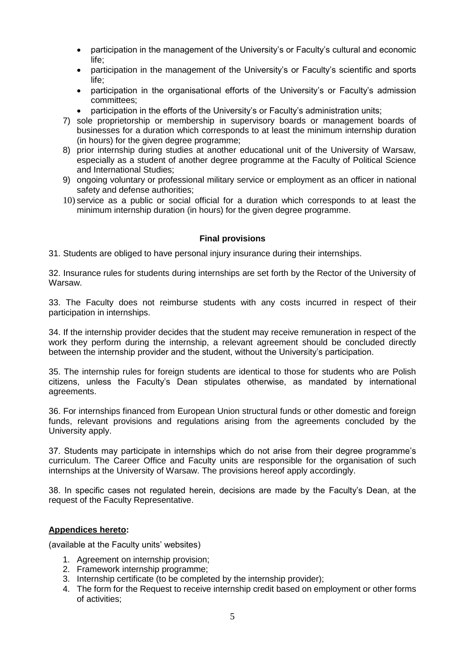- participation in the management of the University's or Faculty's cultural and economic life;
- participation in the management of the University's or Faculty's scientific and sports life;
- participation in the organisational efforts of the University's or Faculty's admission committees;
- participation in the efforts of the University's or Faculty's administration units;
- 7) sole proprietorship or membership in supervisory boards or management boards of businesses for a duration which corresponds to at least the minimum internship duration (in hours) for the given degree programme;
- 8) prior internship during studies at another educational unit of the University of Warsaw, especially as a student of another degree programme at the Faculty of Political Science and International Studies;
- 9) ongoing voluntary or professional military service or employment as an officer in national safety and defense authorities;
- 10) service as a public or social official for a duration which corresponds to at least the minimum internship duration (in hours) for the given degree programme.

### **Final provisions**

31. Students are obliged to have personal injury insurance during their internships.

32. Insurance rules for students during internships are set forth by the Rector of the University of Warsaw.

33. The Faculty does not reimburse students with any costs incurred in respect of their participation in internships.

34. If the internship provider decides that the student may receive remuneration in respect of the work they perform during the internship, a relevant agreement should be concluded directly between the internship provider and the student, without the University's participation.

35. The internship rules for foreign students are identical to those for students who are Polish citizens, unless the Faculty's Dean stipulates otherwise, as mandated by international agreements.

36. For internships financed from European Union structural funds or other domestic and foreign funds, relevant provisions and regulations arising from the agreements concluded by the University apply.

37. Students may participate in internships which do not arise from their degree programme's curriculum. The Career Office and Faculty units are responsible for the organisation of such internships at the University of Warsaw. The provisions hereof apply accordingly.

38. In specific cases not regulated herein, decisions are made by the Faculty's Dean, at the request of the Faculty Representative.

### **Appendices hereto:**

(available at the Faculty units' websites)

- 1. Agreement on internship provision;
- 2. Framework internship programme;
- 3. Internship certificate (to be completed by the internship provider);
- 4. The form for the Request to receive internship credit based on employment or other forms of activities;